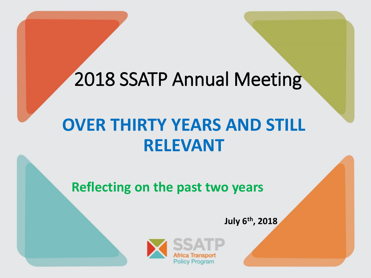### 2018 SSATP Annual Meeting

### **OVER THIRTY YEARS AND STILL RELEVANT**

**Reflecting on the past two years**

**July 6 th , 2018**

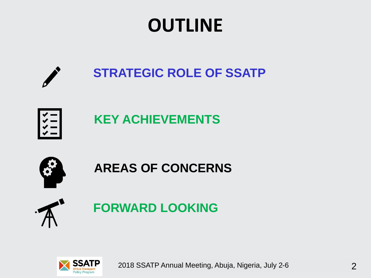# **OUTLINE**





#### **KEY ACHIEVEMENTS**



**AREAS OF CONCERNS**



**FORWARD LOOKING**



2018 SSATP Annual Meeting, Abuja, Nigeria, July 2-6 2 2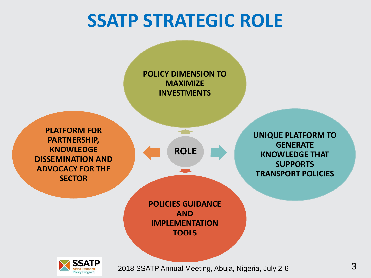## **SSATP STRATEGIC ROLE**

**POLICY DIMENSION TO MAXIMIZE INVESTMENTS**

**PLATFORM FOR PARTNERSHIP, KNOWLEDGE DISSEMINATION AND ADVOCACY FOR THE SECTOR**

**ROLE**

 $\blacksquare$ 

**POLICIES GUIDANCE AND IMPLEMENTATION TOOLS**



 $12018$  SSATP Annual Meeting, Abuja, Nigeria, July 2-6  $\hbox{3}$ 

**UNIQUE PLATFORM TO GENERATE KNOWLEDGE THAT SUPPORTS TRANSPORT POLICIES**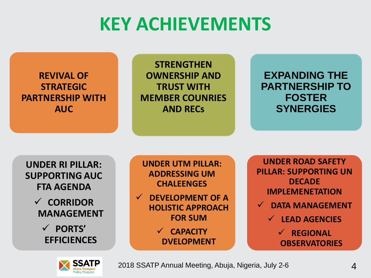# **KEY ACHIEVEMENTS**

**REVIVAL OF STRATEGIC PARTNERSHIP WITH AUC**

**STRENGTHEN OWNERSHIP AND TRUST WITH MEMBER COUNRIES AND RECs**

**EXPANDING THE PARTNERSHIP TO FOSTER SYNERGIES**

**UNDER RI PILLAR: SUPPORTING AUC FTA AGENDA**

> ✓ **CORRIDOR MANAGEMENT**

> > ✓ **PORTS' EFFICIENCES**

**UNDER UTM PILLAR: ADDRESSING UM CHALEENGES**

✓ **DEVELOPMENT OF A HOLISTIC APPROACH FOR SUM**

> ✓ **CAPACITY DVELOPMENT**

**UNDER ROAD SAFETY PILLAR: SUPPORTING UN DECADE IMPLEMENETATION**

- DATA MANAGEMENT
	- ✓ **LEAD AGENCIES**

✓ **REGIONAL OBSERVATORIES**



2018 SSATP Annual Meeting, Abuja, Nigeria, July 2-6 **4** 4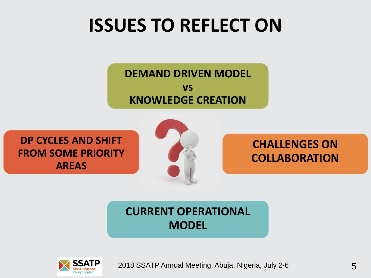# **ISSUES TO REFLECT ON**

**DEMAND DRIVEN MODEL vs KNOWLEDGE CREATION** 

**DP CYCLES AND SHIFT FROM SOME PRIORITY AREAS**



**CHALLENGES ON COLLABORATION**

#### **CURRENT OPERATIONAL MODEL**

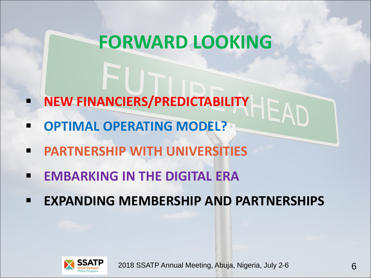### **FORWARD LOOKING**

- **NEW FINANCIERS/PREDICTABILITY**
- **OPTIMAL OPERATING MODEL?**
- **PARTNERSHIP WITH UNIVERSITIES**
- **EMBARKING IN THE DIGITAL ERA**
- **EXPANDING MEMBERSHIP AND PARTNERSHIPS**



1143\_130 – SSATP – DP3 Strategy - Urban Mobility 2018 SSATP Annual Meeting, Abuja, Nigeria, July 2-6 6